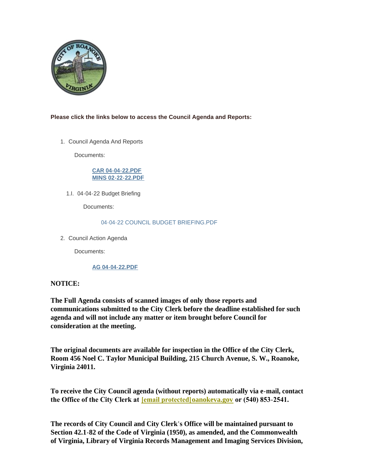

# **Please click the links below to access the Council Agenda and Reports:**

1. Council Agenda And Reports

Documents:

## **[CAR 04-04-22.PDF](https://www.roanokeva.gov/AgendaCenter/ViewFile/Item/1063?fileID=18771) [MINS 02-22-22.PDF](https://www.roanokeva.gov/AgendaCenter/ViewFile/Item/1063?fileID=18772)**

04-04-22 Budget Briefing 1.I.

Documents:

### [04-04-22 COUNCIL BUDGET BRIEFING.PDF](https://www.roanokeva.gov/AgendaCenter/ViewFile/Item/1065?fileID=18775)

2. Council Action Agenda

Documents:

# **[AG 04-04-22.PDF](https://www.roanokeva.gov/AgendaCenter/ViewFile/Item/1066?fileID=18776)**

# **NOTICE:**

**The Full Agenda consists of scanned images of only those reports and communications submitted to the City Clerk before the deadline established for such agenda and will not include any matter or item brought before Council for consideration at the meeting.**

**The original documents are available for inspection in the Office of the City Clerk, Room 456 Noel C. Taylor Municipal Building, 215 Church Avenue, S. W., Roanoke, Virginia 24011.**

**To receive the City Council agenda (without reports) automatically via e-mail, contact the Office of the City Clerk at [\[email protected\]](https://www.roanokeva.gov/cdn-cgi/l/email-protection#9efdf2fbecf5deecf1fff0f1f5fbe8ffb0f9f1e8)oanokeva.gov or (540) 853-2541.** 

**The records of City Council and City Clerk's Office will be maintained pursuant to Section 42.1-82 of the Code of Virginia (1950), as amended, and the Commonwealth of Virginia, Library of Virginia Records Management and Imaging Services Division,**